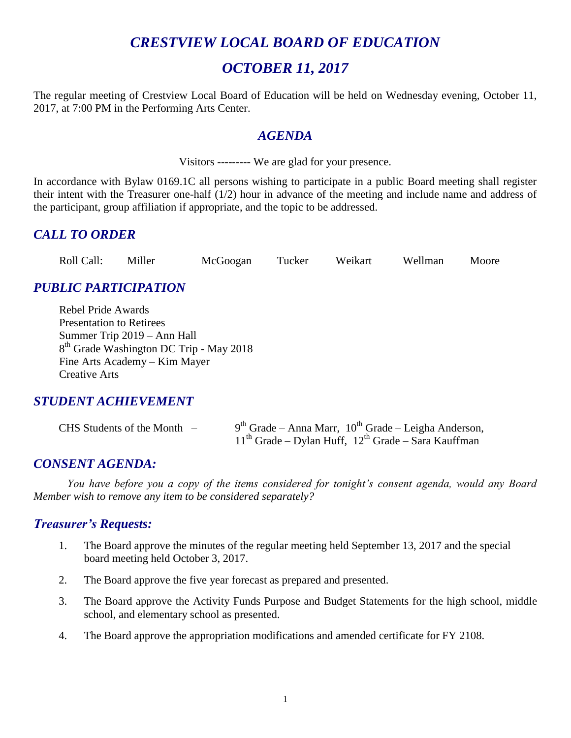# *CRESTVIEW LOCAL BOARD OF EDUCATION*

# *OCTOBER 11, 2017*

The regular meeting of Crestview Local Board of Education will be held on Wednesday evening, October 11, 2017, at 7:00 PM in the Performing Arts Center.

### *AGENDA*

Visitors --------- We are glad for your presence.

In accordance with Bylaw 0169.1C all persons wishing to participate in a public Board meeting shall register their intent with the Treasurer one-half (1/2) hour in advance of the meeting and include name and address of the participant, group affiliation if appropriate, and the topic to be addressed.

# *CALL TO ORDER*

Roll Call: Miller McGoogan Tucker Weikart Wellman Moore

# *PUBLIC PARTICIPATION*

Rebel Pride Awards Presentation to Retirees Summer Trip 2019 – Ann Hall 8<sup>th</sup> Grade Washington DC Trip - May 2018 Fine Arts Academy – Kim Mayer Creative Arts

## *STUDENT ACHIEVEMENT*

| CHS Students of the Month $-$ | $9th$ Grade – Anna Marr, $10th$ Grade – Leigha Anderson, |
|-------------------------------|----------------------------------------------------------|
|                               | $11th$ Grade – Dylan Huff, $12th$ Grade – Sara Kauffman  |

### *CONSENT AGENDA:*

*You have before you a copy of the items considered for tonight's consent agenda, would any Board Member wish to remove any item to be considered separately?*

### *Treasurer's Requests:*

- 1. The Board approve the minutes of the regular meeting held September 13, 2017 and the special board meeting held October 3, 2017.
- 2. The Board approve the five year forecast as prepared and presented.
- 3. The Board approve the Activity Funds Purpose and Budget Statements for the high school, middle school, and elementary school as presented.
- 4. The Board approve the appropriation modifications and amended certificate for FY 2108.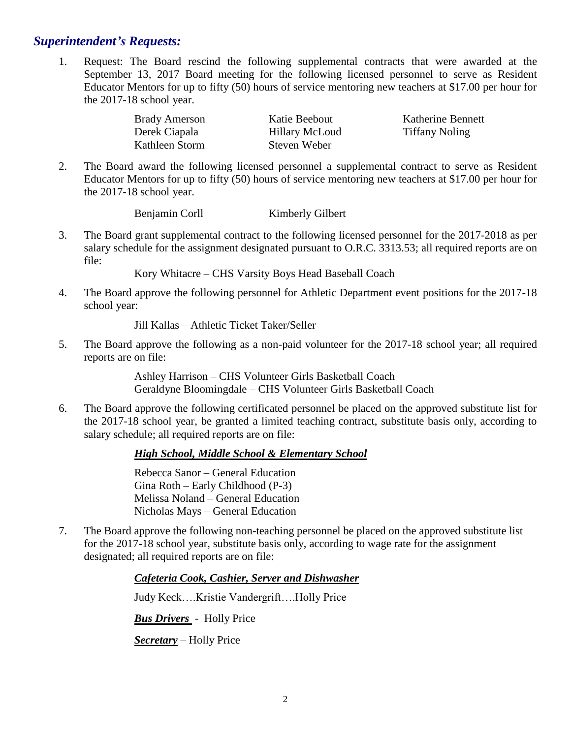### *Superintendent's Requests:*

1. Request: The Board rescind the following supplemental contracts that were awarded at the September 13, 2017 Board meeting for the following licensed personnel to serve as Resident Educator Mentors for up to fifty (50) hours of service mentoring new teachers at \$17.00 per hour for the 2017-18 school year.

| <b>Brady Amerson</b> | Katie Beebout         | Katherine Bennett     |
|----------------------|-----------------------|-----------------------|
| Derek Ciapala        | <b>Hillary McLoud</b> | <b>Tiffany Noling</b> |
| Kathleen Storm       | Steven Weber          |                       |

2. The Board award the following licensed personnel a supplemental contract to serve as Resident Educator Mentors for up to fifty (50) hours of service mentoring new teachers at \$17.00 per hour for the 2017-18 school year.

Benjamin Corll Kimberly Gilbert

3. The Board grant supplemental contract to the following licensed personnel for the 2017-2018 as per salary schedule for the assignment designated pursuant to O.R.C. 3313.53; all required reports are on file:

Kory Whitacre – CHS Varsity Boys Head Baseball Coach

4. The Board approve the following personnel for Athletic Department event positions for the 2017-18 school year:

Jill Kallas – Athletic Ticket Taker/Seller

5. The Board approve the following as a non-paid volunteer for the 2017-18 school year; all required reports are on file:

> Ashley Harrison – CHS Volunteer Girls Basketball Coach Geraldyne Bloomingdale – CHS Volunteer Girls Basketball Coach

6. The Board approve the following certificated personnel be placed on the approved substitute list for the 2017-18 school year, be granted a limited teaching contract, substitute basis only, according to salary schedule; all required reports are on file:

#### *High School, Middle School & Elementary School*

Rebecca Sanor – General Education Gina Roth – Early Childhood (P-3) Melissa Noland – General Education Nicholas Mays – General Education

7. The Board approve the following non-teaching personnel be placed on the approved substitute list for the 2017-18 school year, substitute basis only, according to wage rate for the assignment designated; all required reports are on file:

*Cafeteria Cook, Cashier, Server and Dishwasher*

Judy Keck….Kristie Vandergrift….Holly Price

*Bus Drivers* - Holly Price

*Secretary* – Holly Price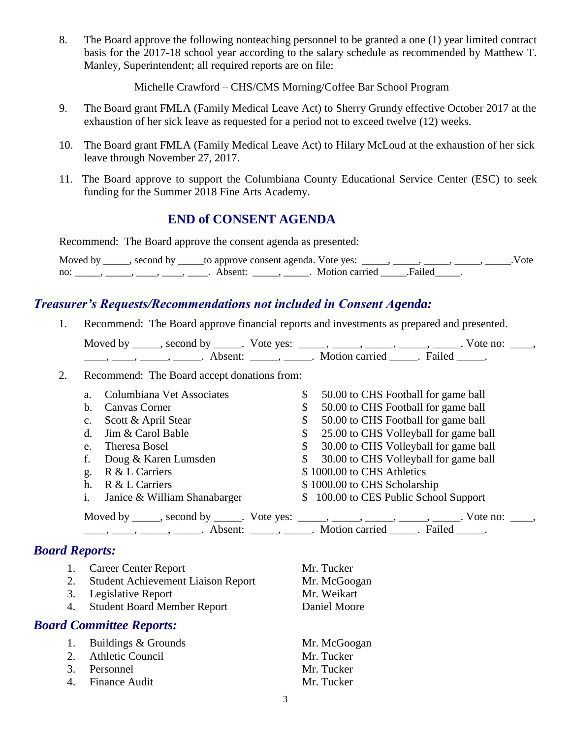8. The Board approve the following nonteaching personnel to be granted a one (1) year limited contract basis for the 2017-18 school year according to the salary schedule as recommended by Matthew T. Manley, Superintendent; all required reports are on file:

Michelle Crawford – CHS/CMS Morning/Coffee Bar School Program

- 9. The Board grant FMLA (Family Medical Leave Act) to Sherry Grundy effective October 2017 at the exhaustion of her sick leave as requested for a period not to exceed twelve (12) weeks.
- 10. The Board grant FMLA (Family Medical Leave Act) to Hilary McLoud at the exhaustion of her sick leave through November 27, 2017.
- 11. The Board approve to support the Columbiana County Educational Service Center (ESC) to seek funding for the Summer 2018 Fine Arts Academy.

# **END of CONSENT AGENDA**

Recommend: The Board approve the consent agenda as presented:

Moved by \_\_\_\_, second by \_\_\_\_\_to approve consent agenda. Vote yes: \_\_\_\_, \_\_\_\_, \_\_\_\_, \_\_\_\_, \_\_\_\_\_, \_\_\_\_\_.Vote no: \_\_\_\_\_, \_\_\_\_, \_\_\_\_, \_\_\_\_, Absent: \_\_\_\_\_, \_\_\_\_\_, Motion carried \_\_\_\_\_.Failed\_\_\_\_.

# *Treasurer's Requests/Recommendations not included in Consent Agenda:*

1. Recommend: The Board approve financial reports and investments as prepared and presented.

| Moved by second by |         | . Vote yes: |                         | Vote no: |  |
|--------------------|---------|-------------|-------------------------|----------|--|
|                    | Absent: |             | Motion carried . Failed |          |  |

2. Recommend: The Board accept donations from:

| a.             | Columbiana Vet Associates                                                                                                                                                                                                                                                                                                                                                                                                   | \$<br>50.00 to CHS Football for game ball                                                           |
|----------------|-----------------------------------------------------------------------------------------------------------------------------------------------------------------------------------------------------------------------------------------------------------------------------------------------------------------------------------------------------------------------------------------------------------------------------|-----------------------------------------------------------------------------------------------------|
| b.             | Canvas Corner                                                                                                                                                                                                                                                                                                                                                                                                               | \$<br>50.00 to CHS Football for game ball                                                           |
| $\mathbf{C}$ . | Scott & April Stear                                                                                                                                                                                                                                                                                                                                                                                                         | \$<br>50.00 to CHS Football for game ball                                                           |
| d.             | Jim & Carol Bable                                                                                                                                                                                                                                                                                                                                                                                                           | \$<br>25.00 to CHS Volleyball for game ball                                                         |
| e.             | <b>Theresa Bosel</b>                                                                                                                                                                                                                                                                                                                                                                                                        | \$<br>30.00 to CHS Volleyball for game ball                                                         |
|                | Doug & Karen Lumsden                                                                                                                                                                                                                                                                                                                                                                                                        | \$<br>30.00 to CHS Volleyball for game ball                                                         |
| g.             | R & L Carriers                                                                                                                                                                                                                                                                                                                                                                                                              | \$1000.00 to CHS Athletics                                                                          |
| h.             | R & L Carriers                                                                                                                                                                                                                                                                                                                                                                                                              | \$1000.00 to CHS Scholarship                                                                        |
| 1.             | Janice & William Shanabarger                                                                                                                                                                                                                                                                                                                                                                                                | \$ 100.00 to CES Public School Support                                                              |
|                |                                                                                                                                                                                                                                                                                                                                                                                                                             | Moved by ______, second by ______. Vote yes: ______, _____, ______, ______, ______. Vote no: ______ |
|                | $\frac{1}{1}, \frac{1}{1}, \frac{1}{1}, \frac{1}{1}, \frac{1}{1}, \frac{1}{1}, \frac{1}{1}, \frac{1}{1}, \frac{1}{1}, \frac{1}{1}, \frac{1}{1}, \frac{1}{1}, \frac{1}{1}, \frac{1}{1}, \frac{1}{1}, \frac{1}{1}, \frac{1}{1}, \frac{1}{1}, \frac{1}{1}, \frac{1}{1}, \frac{1}{1}, \frac{1}{1}, \frac{1}{1}, \frac{1}{1}, \frac{1}{1}, \frac{1}{1}, \frac{1}{1}, \frac{1}{1}, \frac{1}{1}, \frac{1}{1}, \frac{1}{1}, \frac{$ |                                                                                                     |

## *Board Reports:*

1. Career Center Report Mr. Tucker 2. Student Achievement Liaison Report Mr. McGoogan 3. Legislative Report Mr. Weikart 4. Student Board Member Report Daniel Moore *Board Committee Reports:* 1. Buildings & Grounds Mr. McGoogan 2. Athletic Council Mr. Tucker 3. Personnel Mr. Tucker 4. Finance Audit Mr. Tucker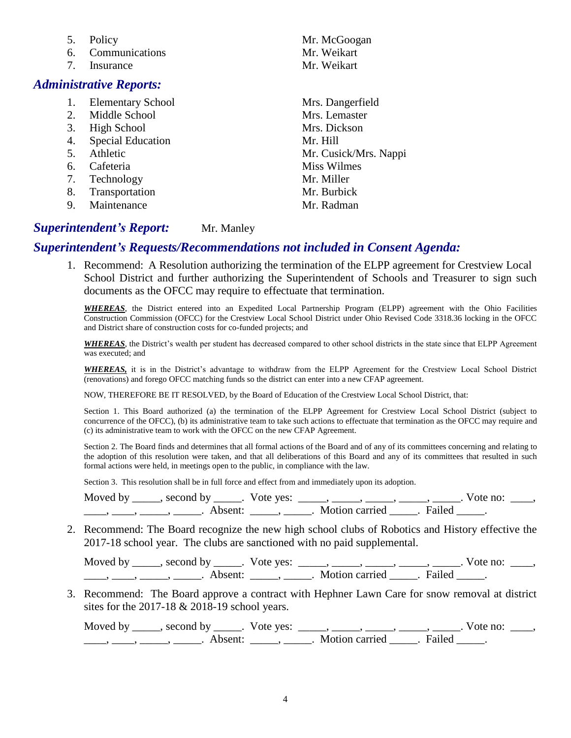- 
- 6. Communications Mr. Weikart
- 7. Insurance Mr. Weikart

### *Administrative Reports:*

- 1. Elementary School Mrs. Dangerfield
- 2. Middle School Mrs. Lemaster
- 3. High School Mrs. Dickson
- 4. Special Education Mr. Hill
- 
- 6. Cafeteria Miss Wilmes
- 7. Technology Mr. Miller
- 8. Transportation Mr. Burbick
- 9. Maintenance Mr. Radman

5. Policy Mr. McGoogan

5. Athletic Mr. Cusick/Mrs. Nappi

### **Superintendent's Report:** Mr. Manley

## *Superintendent's Requests/Recommendations not included in Consent Agenda:*

1. Recommend: A Resolution authorizing the termination of the ELPP agreement for Crestview Local School District and further authorizing the Superintendent of Schools and Treasurer to sign such documents as the OFCC may require to effectuate that termination.

*WHEREAS*, the District entered into an Expedited Local Partnership Program (ELPP) agreement with the Ohio Facilities Construction Commission (OFCC) for the Crestview Local School District under Ohio Revised Code 3318.36 locking in the OFCC and District share of construction costs for co-funded projects; and

*WHEREAS*, the District's wealth per student has decreased compared to other school districts in the state since that ELPP Agreement was executed; and

*WHEREAS,* it is in the District's advantage to withdraw from the ELPP Agreement for the Crestview Local School District (renovations) and forego OFCC matching funds so the district can enter into a new CFAP agreement.

NOW, THEREFORE BE IT RESOLVED, by the Board of Education of the Crestview Local School District, that:

Section 1. This Board authorized (a) the termination of the ELPP Agreement for Crestview Local School District (subject to concurrence of the OFCC), (b) its administrative team to take such actions to effectuate that termination as the OFCC may require and (c) its administrative team to work with the OFCC on the new CFAP Agreement.

Section 2. The Board finds and determines that all formal actions of the Board and of any of its committees concerning and relating to the adoption of this resolution were taken, and that all deliberations of this Board and any of its committees that resulted in such formal actions were held, in meetings open to the public, in compliance with the law.

Section 3. This resolution shall be in full force and effect from and immediately upon its adoption.

| Moved by second by | Vote ves |                |        | no: |
|--------------------|----------|----------------|--------|-----|
|                    |          | Motion carried | Failed |     |

2. Recommend: The Board recognize the new high school clubs of Robotics and History effective the 2017-18 school year. The clubs are sanctioned with no paid supplemental.

Moved by \_\_\_\_\_, second by \_\_\_\_\_. Vote yes: \_\_\_\_\_, \_\_\_\_\_, \_\_\_\_\_, \_\_\_\_\_, \_\_\_\_\_. Vote no: \_\_\_\_,  $\frac{1}{\sqrt{2\pi}}$ ,  $\frac{1}{\sqrt{2\pi}}$ ,  $\frac{1}{\sqrt{2\pi}}$ ,  $\frac{1}{\sqrt{2\pi}}$ ,  $\frac{1}{\sqrt{2\pi}}$ ,  $\frac{1}{\sqrt{2\pi}}$ ,  $\frac{1}{\sqrt{2\pi}}$ ,  $\frac{1}{\sqrt{2\pi}}$ ,  $\frac{1}{\sqrt{2\pi}}$ ,  $\frac{1}{\sqrt{2\pi}}$ 

3. Recommend: The Board approve a contract with Hephner Lawn Care for snow removal at district sites for the 2017-18 & 2018-19 school years.

Moved by \_\_\_\_\_, second by \_\_\_\_\_. Vote yes: \_\_\_\_\_, \_\_\_\_\_, \_\_\_\_\_, \_\_\_\_\_, \_\_\_\_\_. Vote no: \_\_\_\_, \_\_\_\_, \_\_\_\_\_, \_\_\_\_\_\_, Absent: \_\_\_\_\_, \_\_\_\_\_. Motion carried \_\_\_\_\_. Failed \_\_\_\_\_.